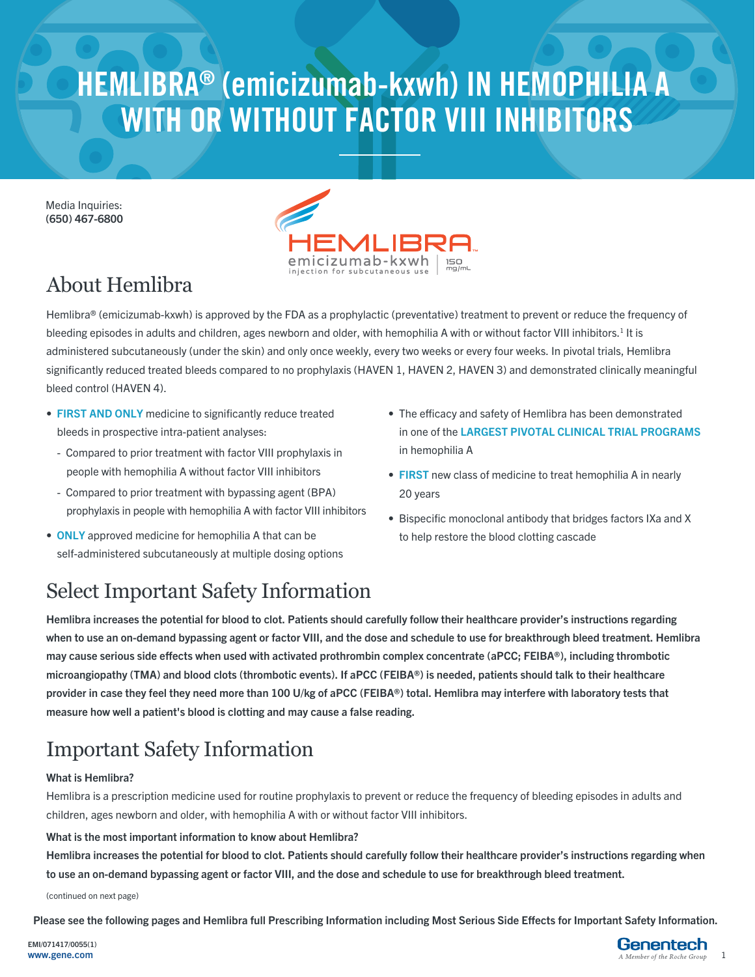## **HEMLIBRA® (emicizumab-kxwh) IN HEMOPHILIA A WITH OR WITHOUT FACTOR VIII INHIBITORS**

Media Inquiries: (650) 467-6800



## About Hemlibra

Hemlibra® (emicizumab-kxwh) is approved by the FDA as a prophylactic (preventative) treatment to prevent or reduce the frequency of bleeding episodes in adults and children, ages newborn and older, with hemophilia A with or without factor VIII inhibitors.<sup>1</sup> It is administered subcutaneously (under the skin) and only once weekly, every two weeks or every four weeks. In pivotal trials, Hemlibra significantly reduced treated bleeds compared to no prophylaxis (HAVEN 1, HAVEN 2, HAVEN 3) and demonstrated clinically meaningful bleed control (HAVEN 4).

- FIRST AND ONLY medicine to significantly reduce treated bleeds in prospective intra-patient analyses:
	- Compared to prior treatment with factor VIII prophylaxis in people with hemophilia A without factor VIII inhibitors
	- Compared to prior treatment with bypassing agent (BPA) prophylaxis in people with hemophilia A with factor VIII inhibitors
- ONLY approved medicine for hemophilia A that can be self-administered subcutaneously at multiple dosing options
- The efficacy and safety of Hemlibra has been demonstrated in one of the LARGEST PIVOTAL CLINICAL TRIAL PROGRAMS in hemophilia A
- FIRST new class of medicine to treat hemophilia A in nearly 20 years
- Bispecific monoclonal antibody that bridges factors IXa and X to help restore the blood clotting cascade

## Select Important Safety Information

Hemlibra increases the potential for blood to clot. Patients should carefully follow their healthcare provider's instructions regarding when to use an on-demand bypassing agent or factor VIII, and the dose and schedule to use for breakthrough bleed treatment. Hemlibra may cause serious side effects when used with activated prothrombin complex concentrate (aPCC; FEIBA®), including thrombotic microangiopathy (TMA) and blood clots (thrombotic events). If aPCC (FEIBA®) is needed, patients should talk to their healthcare provider in case they feel they need more than 100 U/kg of aPCC (FEIBA®) total. Hemlibra may interfere with laboratory tests that measure how well a patient's blood is clotting and may cause a false reading.

## Important Safety Information

#### What is Hemlibra?

Hemlibra is a prescription medicine used for routine prophylaxis to prevent or reduce the frequency of bleeding episodes in adults and children, ages newborn and older, with hemophilia A with or without factor VIII inhibitors.

#### What is the most important information to know about Hemlibra?

Hemlibra increases the potential for blood to clot. Patients should carefully follow their healthcare provider's instructions regarding when to use an on-demand bypassing agent or factor VIII, and the dose and schedule to use for breakthrough bleed treatment.

(continued on next page)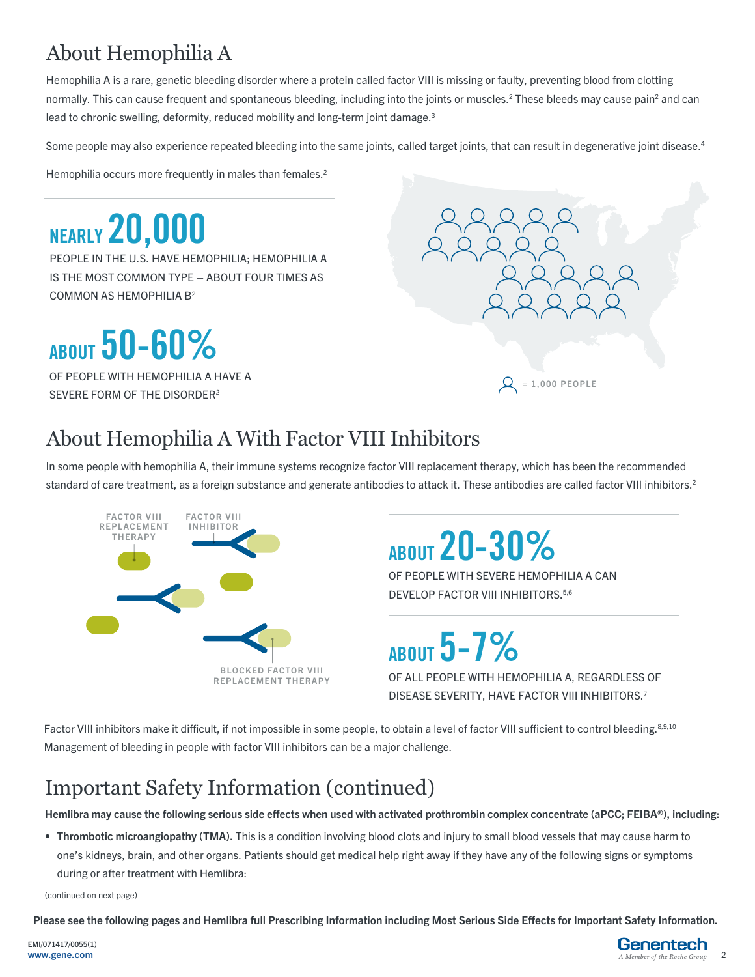## About Hemophilia A

Hemophilia A is a rare, genetic bleeding disorder where a protein called factor VIII is missing or faulty, preventing blood from clotting normally. This can cause frequent and spontaneous bleeding, including into the joints or muscles.<sup>2</sup> These bleeds may cause pain<sup>2</sup> and can lead to chronic swelling, deformity, reduced mobility and long-term joint damage.<sup>3</sup>

Some people may also experience repeated bleeding into the same joints, called target joints, that can result in degenerative joint disease.<sup>4</sup>

Hemophilia occurs more frequently in males than females.<sup>2</sup>

**NEARLY 20,000**  PEOPLE IN THE U.S. HAVE HEMOPHILIA; HEMOPHILIA A IS THE MOST COMMON TYPE – ABOUT FOUR TIMES AS COMMON AS HEMOPHILIA B2

**ABOUT 50-60%**

OF PEOPLE WITH HEMOPHILIA A HAVE A SEVERE FORM OF THE DISORDER2



## About Hemophilia A With Factor VIII Inhibitors

In some people with hemophilia A, their immune systems recognize factor VIII replacement therapy, which has been the recommended standard of care treatment, as a foreign substance and generate antibodies to attack it. These antibodies are called factor VIII inhibitors.<sup>2</sup>



# **ABOUT20-30%**

OF PEOPLE WITH SEVERE HEMOPHILIA A CAN DEVELOP FACTOR VIII INHIBITORS.<sup>5,6</sup>

**ABOUT5-7%**

OF ALL PEOPLE WITH HEMOPHILIA A, REGARDLESS OF DISEASE SEVERITY, HAVE FACTOR VIII INHIBITORS.7

Factor VIII inhibitors make it difficult, if not impossible in some people, to obtain a level of factor VIII sufficient to control bleeding.<sup>8,9,10</sup> Management of bleeding in people with factor VIII inhibitors can be a major challenge.

## Important Safety Information (continued)

Hemlibra may cause the following serious side effects when used with activated prothrombin complex concentrate (aPCC; FEIBA®), including:

• Thrombotic microangiopathy (TMA). This is a condition involving blood clots and injury to small blood vessels that may cause harm to one's kidneys, brain, and other organs. Patients should get medical help right away if they have any of the following signs or symptoms during or after treatment with Hemlibra:

(continued on next page)

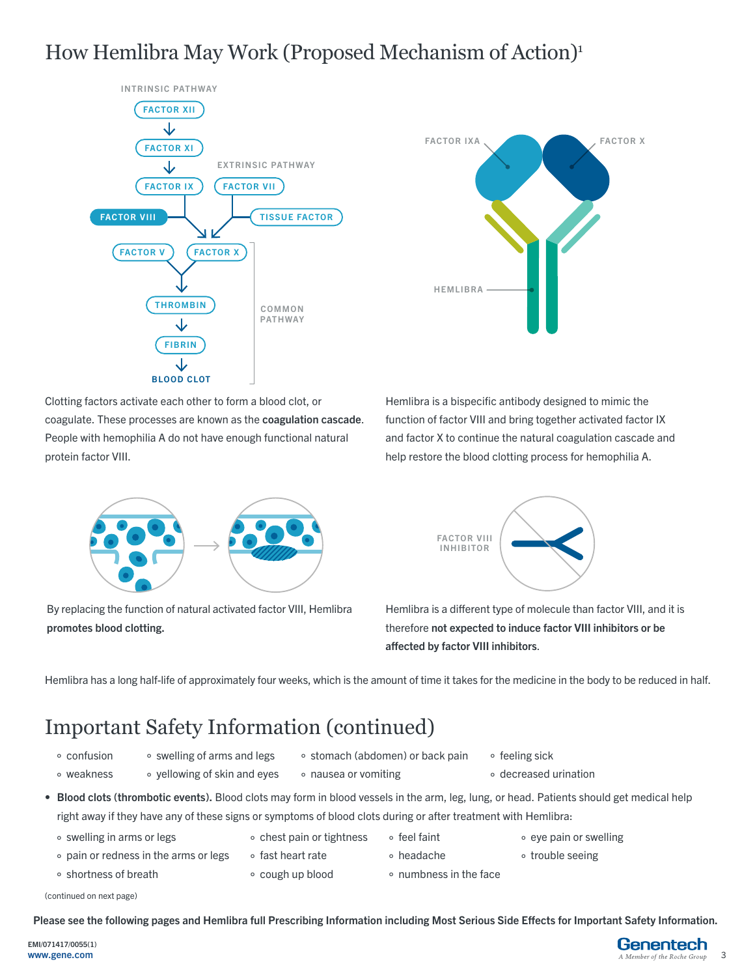### How Hemlibra May Work (Proposed Mechanism of Action)<sup>1</sup>





Clotting factors activate each other to form a blood clot, or coagulate. These processes are known as the coagulation cascade. People with hemophilia A do not have enough functional natural protein factor VIII.





By replacing the function of natural activated factor VIII, Hemlibra promotes blood clotting.



Hemlibra is a different type of molecule than factor VIII, and it is therefore not expected to induce factor VIII inhibitors or be affected by factor VIII inhibitors.

Hemlibra has a long half-life of approximately four weeks, which is the amount of time it takes for the medicine in the body to be reduced in half.

### Important Safety Information (continued)

- ° confusion ° weakness
- ° swelling of arms and legs ° yellowing of skin and eyes
- ° stomach (abdomen) or back pain
- ° feeling sick
- ° decreased urination
- Blood clots (thrombotic events). Blood clots may form in blood vessels in the arm, leg, lung, or head. Patients should get medical help right away if they have any of these signs or symptoms of blood clots during or after treatment with Hemlibra:

° nausea or vomiting

- ° swelling in arms or legs
- ° pain or redness in the arms or legs
- ° shortness of breath
- 
- ° chest pain or tightness
- ° fast heart rate
- - ° cough up blood
- ° feel faint ° headache
- ° eye pain or swelling
- 
- 
- ° numbness in the face
- ° trouble seeing
- 

(continued on next page)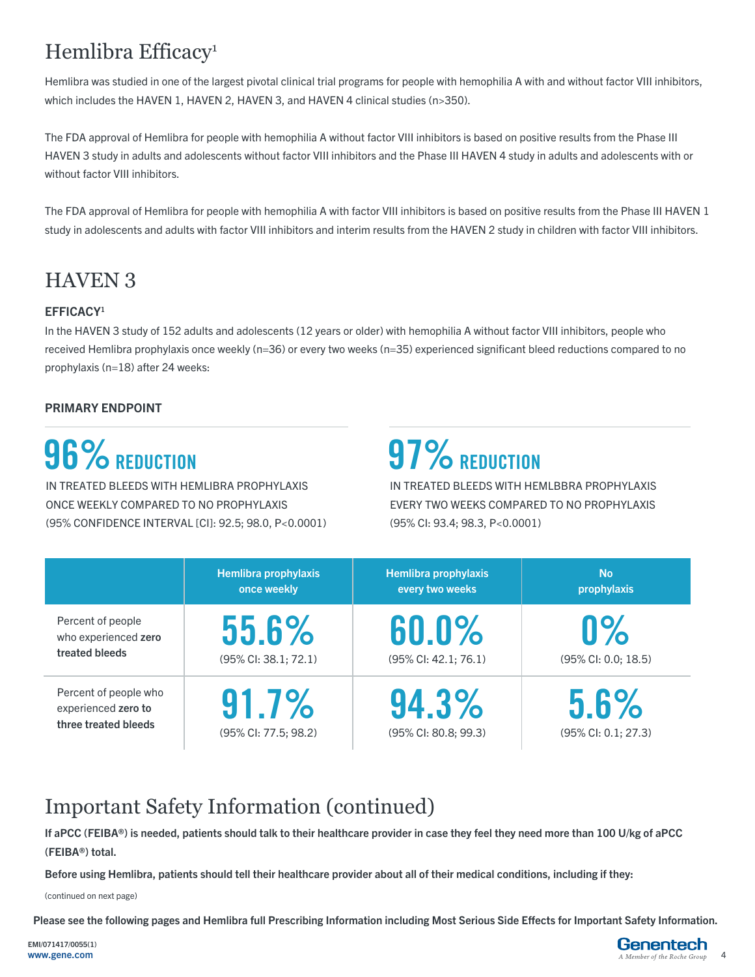## Hemlibra Efficacy<sup>1</sup>

Hemlibra was studied in one of the largest pivotal clinical trial programs for people with hemophilia A with and without factor VIII inhibitors, which includes the HAVEN 1, HAVEN 2, HAVEN 3, and HAVEN 4 clinical studies (n>350).

The FDA approval of Hemlibra for people with hemophilia A without factor VIII inhibitors is based on positive results from the Phase III HAVEN 3 study in adults and adolescents without factor VIII inhibitors and the Phase III HAVEN 4 study in adults and adolescents with or without factor VIII inhibitors.

The FDA approval of Hemlibra for people with hemophilia A with factor VIII inhibitors is based on positive results from the Phase III HAVEN 1 study in adolescents and adults with factor VIII inhibitors and interim results from the HAVEN 2 study in children with factor VIII inhibitors.

### HAVEN 3

#### EFFICACY1

In the HAVEN 3 study of 152 adults and adolescents (12 years or older) with hemophilia A without factor VIII inhibitors, people who received Hemlibra prophylaxis once weekly (n=36) or every two weeks (n=35) experienced significant bleed reductions compared to no prophylaxis (n=18) after 24 weeks:

#### PRIMARY ENDPOINT

## **96% REDUCTION**

IN TREATED BLEEDS WITH HEMLIBRA PROPHYLAXIS ONCE WEEKLY COMPARED TO NO PROPHYLAXIS (95% CONFIDENCE INTERVAL [CI]: 92.5; 98.0, P<0.0001)

## **97% REDUCTION**

IN TREATED BLEEDS WITH HEMLBBRA PROPHYLAXIS EVERY TWO WEEKS COMPARED TO NO PROPHYLAXIS (95% CI: 93.4; 98.3, P<0.0001)

|                                                                      | Hemlibra prophylaxis<br>once weekly | Hemlibra prophylaxis<br>every two weeks | <b>No</b><br>prophylaxis                 |
|----------------------------------------------------------------------|-------------------------------------|-----------------------------------------|------------------------------------------|
| Percent of people<br>who experienced zero<br>treated bleeds          | 55.6%<br>(95% CI: 38.1; 72.1)       | 60.0%<br>(95% CI: 42.1; 76.1)           | $0\%$<br>$(95\% \text{ Cl: } 0.0; 18.5)$ |
| Percent of people who<br>experienced zero to<br>three treated bleeds | 91.7%<br>(95% CI: 77.5; 98.2)       | 94.3%<br>(95% CI: 80.8; 99.3)           | 5.6%<br>$(95\%$ CI: 0.1; 27.3)           |

### Important Safety Information (continued)

If aPCC (FEIBA®) is needed, patients should talk to their healthcare provider in case they feel they need more than 100 U/kg of aPCC (FEIBA®) total.

Before using Hemlibra, patients should tell their healthcare provider about all of their medical conditions, including if they:

(continued on next page)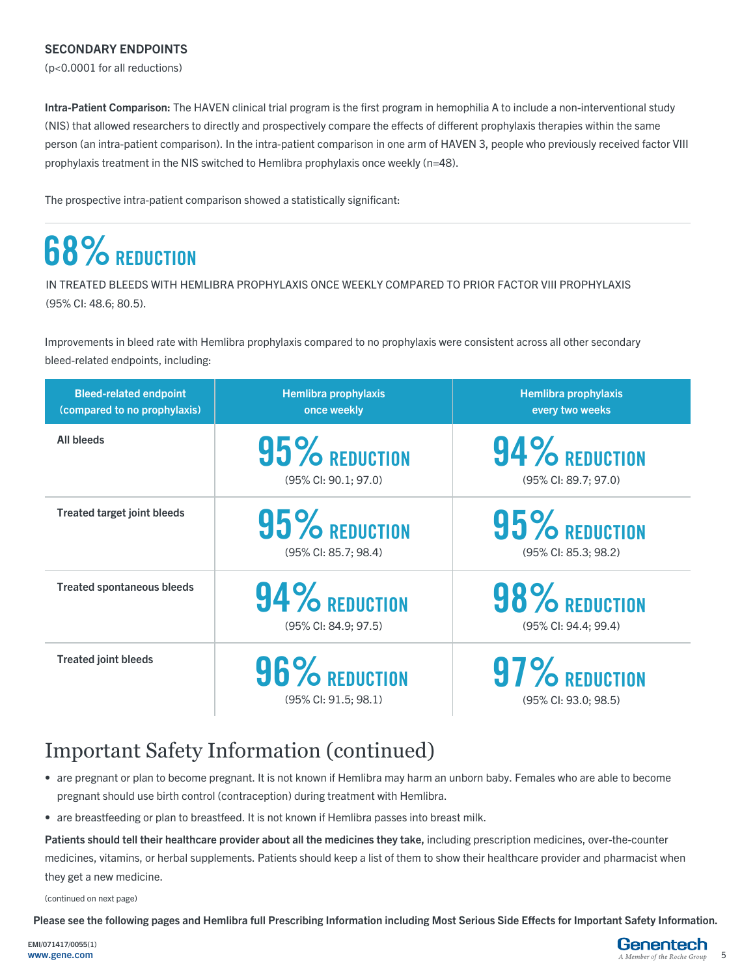#### SECONDARY ENDPOINTS

(p<0.0001 for all reductions)

Intra-Patient Comparison: The HAVEN clinical trial program is the first program in hemophilia A to include a non-interventional study (NIS) that allowed researchers to directly and prospectively compare the effects of different prophylaxis therapies within the same person (an intra-patient comparison). In the intra-patient comparison in one arm of HAVEN 3, people who previously received factor VIII prophylaxis treatment in the NIS switched to Hemlibra prophylaxis once weekly (n=48).

The prospective intra-patient comparison showed a statistically significant:

## **68%** REDUCTION

IN TREATED BLEEDS WITH HEMLIBRA PROPHYLAXIS ONCE WEEKLY COMPARED TO PRIOR FACTOR VIII PROPHYLAXIS (95% CI: 48.6; 80.5).

Improvements in bleed rate with Hemlibra prophylaxis compared to no prophylaxis were consistent across all other secondary bleed-related endpoints, including:

| <b>Bleed-related endpoint</b><br>(compared to no prophylaxis) | <b>Hemlibra prophylaxis</b><br>once weekly       | <b>Hemlibra prophylaxis</b><br>every two weeks |
|---------------------------------------------------------------|--------------------------------------------------|------------------------------------------------|
| <b>All bleeds</b>                                             | $95\%$ REDUCTION<br>$(95\%$ CI: $90.1; 97.0)$    | $94\%$ Reduction<br>(95% CI: 89.7; 97.0)       |
| <b>Treated target joint bleeds</b>                            | $95\%$ REDUCTION<br>$(95\%$ CI: 85.7; 98.4)      | 95% REDUCTION<br>$(95\%$ Cl: 85.3; 98.2)       |
| <b>Treated spontaneous bleeds</b>                             | 94% REDUCTION<br>(95% CI: 84.9; 97.5)            | 98% REDUCTION<br>(95% CI: 94.4; 99.4)          |
| <b>Treated joint bleeds</b>                                   | 96% REDUCTION<br>$(95\% \text{ Cl}: 91.5; 98.1)$ | 97% REDUCTION<br>$(95\%$ CI: 93.0; 98.5)       |

### Important Safety Information (continued)

- are pregnant or plan to become pregnant. It is not known if Hemlibra may harm an unborn baby. Females who are able to become pregnant should use birth control (contraception) during treatment with Hemlibra.
- are breastfeeding or plan to breastfeed. It is not known if Hemlibra passes into breast milk.

Patients should tell their healthcare provider about all the medicines they take, including prescription medicines, over-the-counter medicines, vitamins, or herbal supplements. Patients should keep a list of them to show their healthcare provider and pharmacist when they get a new medicine.

(continued on next page)

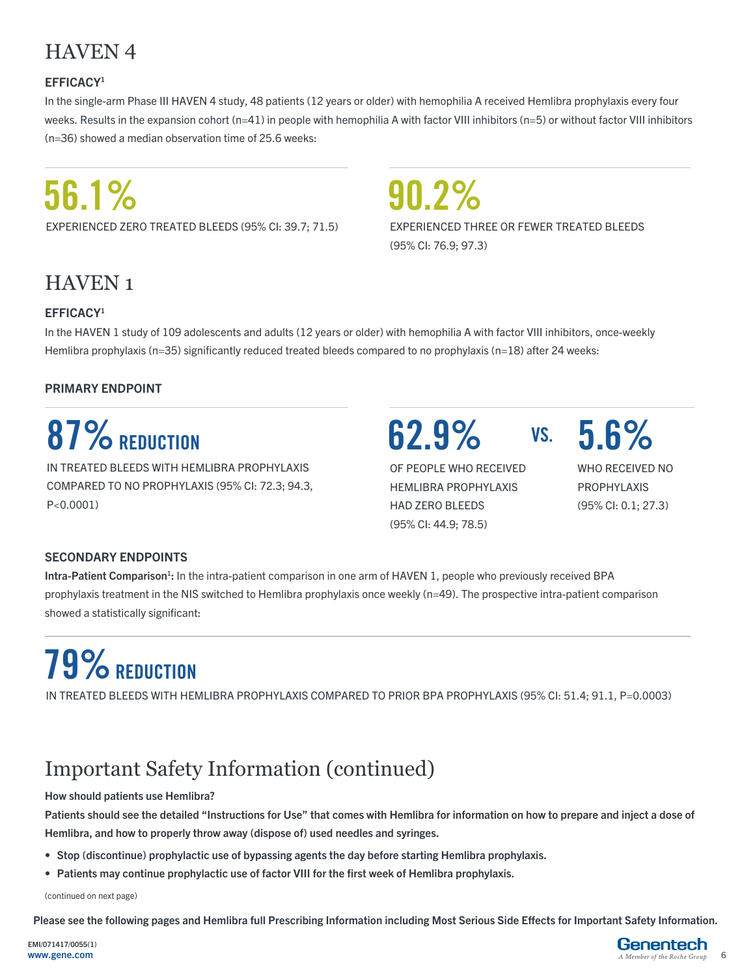### HAVEN 4

#### EFFICACY1

In the single-arm Phase III HAVEN 4 study, 48 patients (12 years or older) with hemophilia A received Hemlibra prophylaxis every four weeks. Results in the expansion cohort (n=41) in people with hemophilia A with factor VIII inhibitors (n=5) or without factor VIII inhibitors (n=36) showed a median observation time of 25.6 weeks:

# **56.1%**

EXPERIENCED ZERO TREATED BLEEDS (95% CI: 39.7; 71.5)

**90.2%**  EXPERIENCED THREE OR FEWER TREATED BLEEDS (95% CI: 76.9; 97.3)

### HAVEN 1

#### EFFICACY1

In the HAVEN 1 study of 109 adolescents and adults (12 years or older) with hemophilia A with factor VIII inhibitors, once-weekly Hemlibra prophylaxis (n=35) significantly reduced treated bleeds compared to no prophylaxis (n=18) after 24 weeks:

#### PRIMARY ENDPOINT

## **87% REDUCTION**

IN TREATED BLEEDS WITH HEMLIBRA PROPHYLAXIS COMPARED TO NO PROPHYLAXIS (95% CI: 72.3; 94.3, P<0.0001)

**62.9% VS.**

OF PEOPLE WHO RECEIVED HEMLIBRA PROPHYLAXIS HAD ZERO BLEEDS (95% CI: 44.9; 78.5)

vs. 5.6%

WHO RECEIVED NO PROPHYLAXIS (95% CI: 0.1; 27.3)

#### SECONDARY ENDPOINTS

Intra-Patient Comparison<sup>1</sup>: In the intra-patient comparison in one arm of HAVEN 1, people who previously received BPA prophylaxis treatment in the NIS switched to Hemlibra prophylaxis once weekly (n=49). The prospective intra-patient comparison showed a statistically significant:

# **79% REDUCTION**

IN TREATED BLEEDS WITH HEMLIBRA PROPHYLAXIS COMPARED TO PRIOR BPA PROPHYLAXIS (95% CI: 51.4; 91.1, P=0.0003)

## Important Safety Information (continued)

#### How should patients use Hemlibra?

Patients should see the detailed "Instructions for Use" that comes with Hemlibra for information on how to prepare and inject a dose of Hemlibra, and how to properly throw away (dispose of) used needles and syringes.

- Stop (discontinue) prophylactic use of bypassing agents the day before starting Hemlibra prophylaxis.
- Patients may continue prophylactic use of factor VIII for the first week of Hemlibra prophylaxis.

(continued on next page)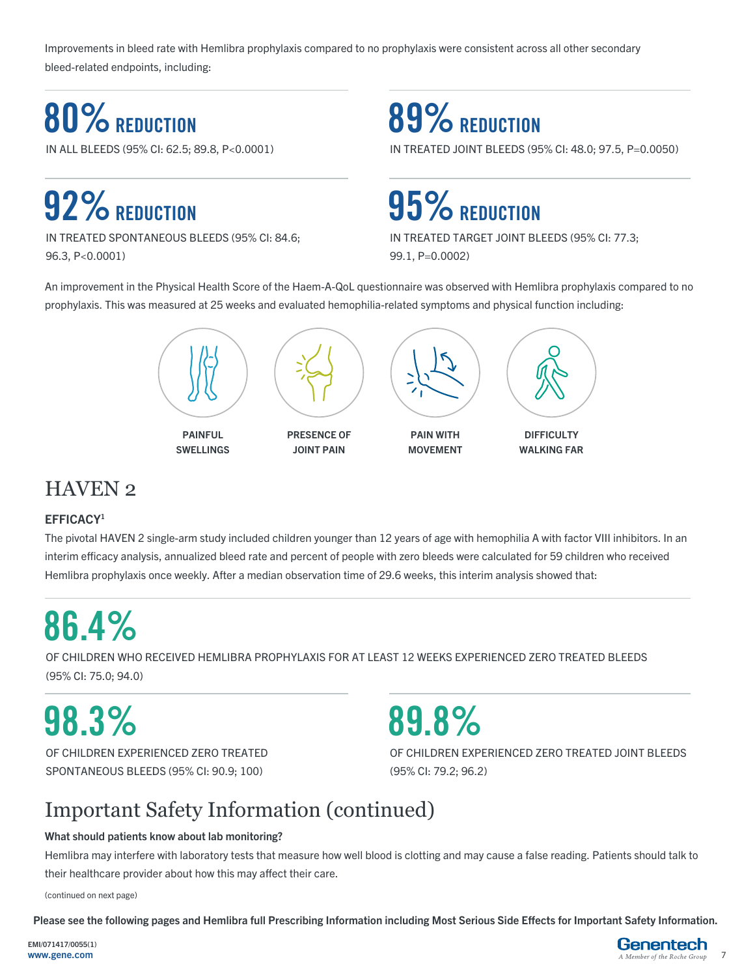Improvements in bleed rate with Hemlibra prophylaxis compared to no prophylaxis were consistent across all other secondary bleed-related endpoints, including:

## **80% REDUCTION**

IN ALL BLEEDS (95% CI: 62.5; 89.8, P<0.0001)

# **92% REDUCTION**

IN TREATED SPONTANEOUS BLEEDS (95% CI: 84.6; 96.3, P<0.0001)

## **89% REDUCTION**

IN TREATED JOINT BLEEDS (95% CI: 48.0; 97.5, P=0.0050)

## **95% REDUCTION**

IN TREATED TARGET JOINT BLEEDS (95% CI: 77.3; 99.1, P=0.0002)

An improvement in the Physical Health Score of the Haem-A-QoL questionnaire was observed with Hemlibra prophylaxis compared to no prophylaxis. This was measured at 25 weeks and evaluated hemophilia-related symptoms and physical function including:



### HAVEN 2

#### EFFICACY1

The pivotal HAVEN 2 single-arm study included children younger than 12 years of age with hemophilia A with factor VIII inhibitors. In an interim efficacy analysis, annualized bleed rate and percent of people with zero bleeds were calculated for 59 children who received Hemlibra prophylaxis once weekly. After a median observation time of 29.6 weeks, this interim analysis showed that:

# **86.4%**

OF CHILDREN WHO RECEIVED HEMLIBRA PROPHYLAXIS FOR AT LEAST 12 WEEKS EXPERIENCED ZERO TREATED BLEEDS (95% CI: 75.0; 94.0)

## **98.3%**

OF CHILDREN EXPERIENCED ZERO TREATED SPONTANEOUS BLEEDS (95% CI: 90.9; 100)

# **89.8%**

OF CHILDREN EXPERIENCED ZERO TREATED JOINT BLEEDS (95% CI: 79.2; 96.2)

## Important Safety Information (continued)

#### What should patients know about lab monitoring?

Hemlibra may interfere with laboratory tests that measure how well blood is clotting and may cause a false reading. Patients should talk to their healthcare provider about how this may affect their care.

(continued on next page)